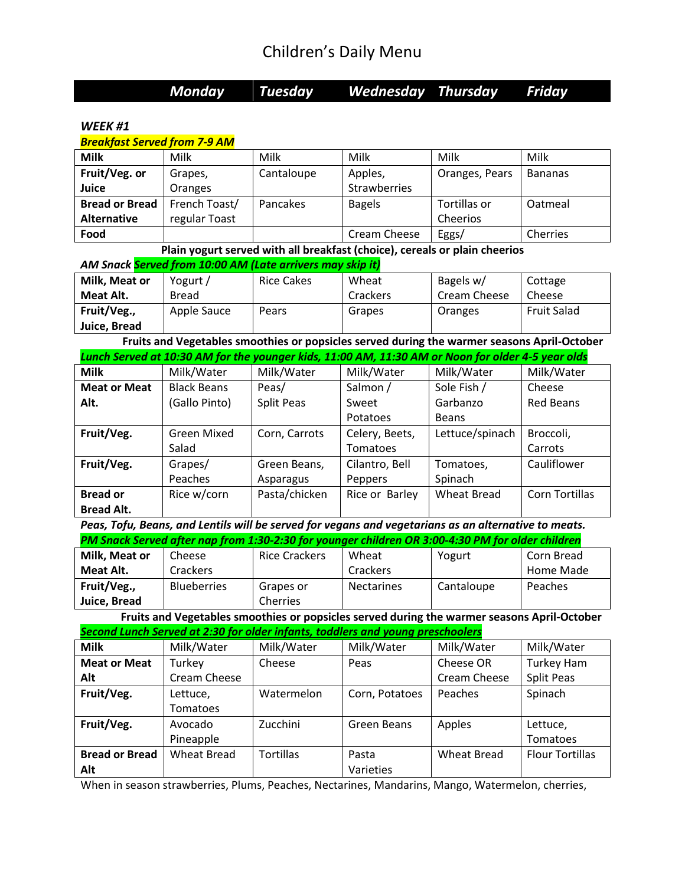|                                     | Monday             | Tuesday                                                                | Wednesday                                                                                            | <b>Thursday</b>    | Friday                 |
|-------------------------------------|--------------------|------------------------------------------------------------------------|------------------------------------------------------------------------------------------------------|--------------------|------------------------|
| WEEK #1                             |                    |                                                                        |                                                                                                      |                    |                        |
| <b>Breakfast Served from 7-9 AM</b> |                    |                                                                        |                                                                                                      |                    |                        |
| <b>Milk</b>                         | Milk               | Milk                                                                   | Milk                                                                                                 | Milk               | Milk                   |
| Fruit/Veg. or                       | Grapes,            | Cantaloupe                                                             | Apples,                                                                                              | Oranges, Pears     | <b>Bananas</b>         |
| Juice                               | Oranges            |                                                                        | Strawberries                                                                                         |                    |                        |
| <b>Bread or Bread</b>               | French Toast/      | Pancakes                                                               | <b>Bagels</b>                                                                                        | Tortillas or       | Oatmeal                |
| <b>Alternative</b>                  | regular Toast      |                                                                        |                                                                                                      | Cheerios           |                        |
| Food                                |                    |                                                                        | Cream Cheese                                                                                         | Eggs/              | Cherries               |
|                                     |                    |                                                                        | Plain yogurt served with all breakfast (choice), cereals or plain cheerios                           |                    |                        |
|                                     |                    | AM Snack <mark>Served from 10:00 AM (Late arrivers may skip it)</mark> |                                                                                                      |                    |                        |
| Milk, Meat or                       | Yogurt /           | <b>Rice Cakes</b>                                                      | Wheat                                                                                                | Bagels w/          | Cottage                |
| Meat Alt.                           | <b>Bread</b>       |                                                                        | Crackers                                                                                             | Cream Cheese       | Cheese                 |
| Fruit/Veg.,                         | Apple Sauce        | Pears                                                                  | Grapes                                                                                               | Oranges            | <b>Fruit Salad</b>     |
| Juice, Bread                        |                    |                                                                        |                                                                                                      |                    |                        |
|                                     |                    |                                                                        | Fruits and Vegetables smoothies or popsicles served during the warmer seasons April-October          |                    |                        |
|                                     |                    |                                                                        | Lunch Served at 10:30 AM for the younger kids, 11:00 AM, 11:30 AM or Noon for older 4-5 year olds    |                    |                        |
| <b>Milk</b>                         | Milk/Water         | Milk/Water                                                             | Milk/Water                                                                                           | Milk/Water         | Milk/Water             |
| <b>Meat or Meat</b>                 | <b>Black Beans</b> | Peas/                                                                  | Salmon /                                                                                             | Sole Fish /        | Cheese                 |
| Alt.                                | (Gallo Pinto)      | Split Peas                                                             | Sweet                                                                                                | Garbanzo           | <b>Red Beans</b>       |
|                                     |                    |                                                                        | Potatoes                                                                                             | <b>Beans</b>       |                        |
| Fruit/Veg.                          | <b>Green Mixed</b> | Corn, Carrots                                                          | Celery, Beets,                                                                                       | Lettuce/spinach    | Broccoli,              |
|                                     | Salad              |                                                                        | Tomatoes                                                                                             |                    | Carrots                |
| Fruit/Veg.                          | Grapes/            | Green Beans,                                                           | Cilantro, Bell                                                                                       | Tomatoes,          | Cauliflower            |
|                                     | Peaches            | Asparagus                                                              | Peppers                                                                                              | Spinach            |                        |
| <b>Bread or</b>                     | Rice w/corn        | Pasta/chicken                                                          | Rice or Barley                                                                                       | <b>Wheat Bread</b> | Corn Tortillas         |
| <b>Bread Alt.</b>                   |                    |                                                                        |                                                                                                      |                    |                        |
|                                     |                    |                                                                        | Peas, Tofu, Beans, and Lentils will be served for vegans and vegetarians as an alternative to meats. |                    |                        |
|                                     |                    |                                                                        | PM Snack Served after nap from 1:30-2:30 for younger children OR 3:00-4:30 PM for older children     |                    |                        |
| Milk, Meat or                       | Cheese             | <b>Rice Crackers</b>                                                   | Wheat                                                                                                | Yogurt             | Corn Bread             |
| Meat Alt.                           | Crackers           |                                                                        | Crackers                                                                                             |                    | Home Made              |
| Fruit/Veg.,                         | Blueberries        | Grapes or                                                              | Nectarines                                                                                           | Cantaloupe         | Peaches                |
| Juice, Bread                        |                    | Cherries                                                               |                                                                                                      |                    |                        |
|                                     |                    |                                                                        | Fruits and Vegetables smoothies or popsicles served during the warmer seasons April-October          |                    |                        |
|                                     |                    |                                                                        | Second Lunch Served at 2:30 for older infants, toddlers and young preschoolers                       |                    |                        |
| <b>Milk</b>                         | Milk/Water         | Milk/Water                                                             | Milk/Water                                                                                           | Milk/Water         | Milk/Water             |
| <b>Meat or Meat</b>                 | Turkey             | Cheese                                                                 | Peas                                                                                                 | Cheese OR          | Turkey Ham             |
| Alt                                 | Cream Cheese       |                                                                        |                                                                                                      | Cream Cheese       | Split Peas             |
| Fruit/Veg.                          | Lettuce,           | Watermelon                                                             | Corn, Potatoes                                                                                       | Peaches            | Spinach                |
|                                     | Tomatoes           |                                                                        |                                                                                                      |                    |                        |
| Fruit/Veg.                          | Avocado            | Zucchini                                                               | Green Beans                                                                                          | Apples             | Lettuce,               |
|                                     | Pineapple          |                                                                        |                                                                                                      |                    | Tomatoes               |
| <b>Bread or Bread</b>               | <b>Wheat Bread</b> | Tortillas                                                              | Pasta                                                                                                | <b>Wheat Bread</b> | <b>Flour Tortillas</b> |
| Alt                                 |                    |                                                                        | Varieties                                                                                            |                    |                        |

When in season strawberries, Plums, Peaches, Nectarines, Mandarins, Mango, Watermelon, cherries,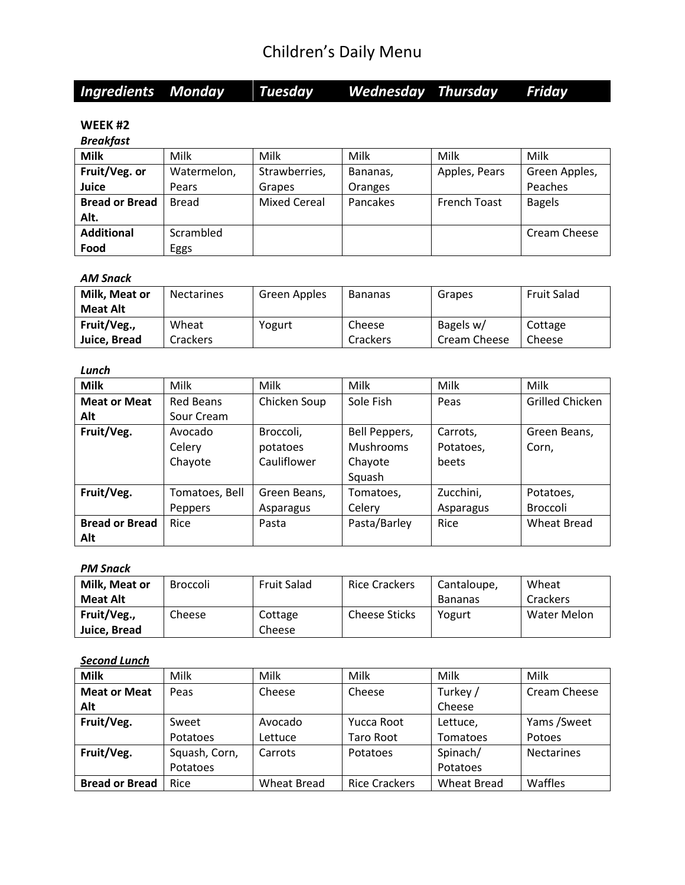|  | <b>Ingredients Monday</b> |  | <b>Tuesdav</b> | Wednesday Thursday |  | Friday |
|--|---------------------------|--|----------------|--------------------|--|--------|
|--|---------------------------|--|----------------|--------------------|--|--------|

#### **WEEK #2**

#### *Breakfast*

| <b>Milk</b>           | Milk        | Milk                | Milk     | Milk                | Milk          |
|-----------------------|-------------|---------------------|----------|---------------------|---------------|
| Fruit/Veg. or         | Watermelon, | Strawberries,       | Bananas, | Apples, Pears       | Green Apples, |
| Juice                 | Pears       | Grapes              | Oranges  |                     | Peaches       |
| <b>Bread or Bread</b> | Bread       | <b>Mixed Cereal</b> | Pancakes | <b>French Toast</b> | <b>Bagels</b> |
| Alt.                  |             |                     |          |                     |               |
| <b>Additional</b>     | Scrambled   |                     |          |                     | Cream Cheese  |
| Food                  | Eggs        |                     |          |                     |               |

#### *AM Snack*

| Milk, Meat or   | <b>Nectarines</b> | Green Apples | <b>Bananas</b> | Grapes       | <b>Fruit Salad</b> |
|-----------------|-------------------|--------------|----------------|--------------|--------------------|
| <b>Meat Alt</b> |                   |              |                |              |                    |
| Fruit/Veg.,     | Wheat             | Yogurt       | Cheese         | Bagels w/    | Cottage            |
| Juice, Bread    | Crackers          |              | Crackers       | Cream Cheese | Cheese             |

#### *Lunch*

| <b>Milk</b>           | Milk             | Milk         | Milk             | Milk      | Milk                   |
|-----------------------|------------------|--------------|------------------|-----------|------------------------|
| <b>Meat or Meat</b>   | <b>Red Beans</b> | Chicken Soup | Sole Fish        | Peas      | <b>Grilled Chicken</b> |
| Alt                   | Sour Cream       |              |                  |           |                        |
| Fruit/Veg.            | Avocado          | Broccoli,    | Bell Peppers,    | Carrots,  | Green Beans,           |
|                       | Celery           | potatoes     | <b>Mushrooms</b> | Potatoes, | Corn,                  |
|                       | Chayote          | Cauliflower  | Chayote          | beets     |                        |
|                       |                  |              | Squash           |           |                        |
| Fruit/Veg.            | Tomatoes, Bell   | Green Beans, | Tomatoes,        | Zucchini, | Potatoes,              |
|                       | Peppers          | Asparagus    | Celery           | Asparagus | <b>Broccoli</b>        |
| <b>Bread or Bread</b> | Rice             | Pasta        | Pasta/Barley     | Rice      | Wheat Bread            |
| Alt                   |                  |              |                  |           |                        |

#### *PM Snack*

| Milk, Meat or   | <b>Broccoli</b> | <b>Fruit Salad</b> | <b>Rice Crackers</b> | Cantaloupe.    | Wheat       |
|-----------------|-----------------|--------------------|----------------------|----------------|-------------|
| <b>Meat Alt</b> |                 |                    |                      | <b>Bananas</b> | Crackers    |
| Fruit/Veg.,     | Cheese          | Cottage            | <b>Cheese Sticks</b> | Yogurt         | Water Melon |
| Juice, Bread    |                 | Cheese             |                      |                |             |

### *Second Lunch*

| <b>Milk</b>           | Milk          | Milk        | Milk                 | Milk               | Milk              |
|-----------------------|---------------|-------------|----------------------|--------------------|-------------------|
| <b>Meat or Meat</b>   | Peas          | Cheese      | Cheese               | Turkey /           | Cream Cheese      |
| Alt                   |               |             |                      | Cheese             |                   |
| Fruit/Veg.            | Sweet         | Avocado     | Yucca Root           | Lettuce,           | Yams /Sweet       |
|                       | Potatoes      | Lettuce     | Taro Root            | Tomatoes           | Potoes            |
| Fruit/Veg.            | Squash, Corn, | Carrots     | Potatoes             | Spinach/           | <b>Nectarines</b> |
|                       | Potatoes      |             |                      | Potatoes           |                   |
| <b>Bread or Bread</b> | Rice          | Wheat Bread | <b>Rice Crackers</b> | <b>Wheat Bread</b> | Waffles           |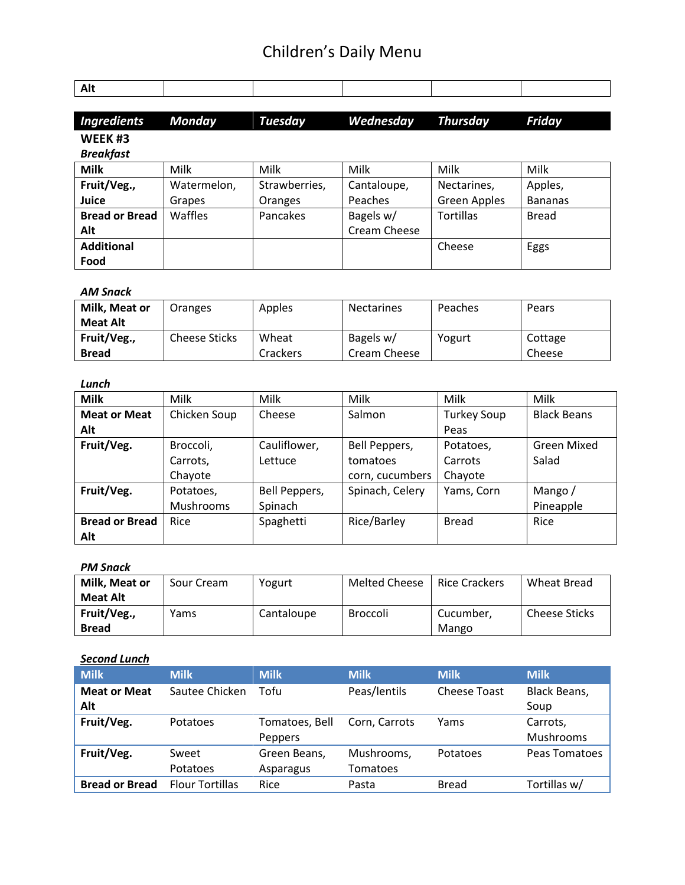| <b>Ingredients</b> Monday | Tuesdav | Wednesday Thursday | Friday |  |
|---------------------------|---------|--------------------|--------|--|
| WEEK <sub>#3</sub>        |         |                    |        |  |
| <b>Breakfast</b>          |         |                    |        |  |

Nectarines, Green Apples

Tortillas | Bread

Cheese | Eggs

Apples, Bananas

#### **Milk | M**ilk | Milk | Milk | Milk | Milk **Fruit/Veg., Juice** Watermelon, Grapes Strawberries, Oranges Cantaloupe, Peaches **Bread or Bread Alt** Waffles | Pancakes | Bagels w/ Cream Cheese

#### *AM Snack*

**Additional Food**

| Milk, Meat or   | Oranges              | Apples   | <b>Nectarines</b> | Peaches | Pears   |
|-----------------|----------------------|----------|-------------------|---------|---------|
| <b>Meat Alt</b> |                      |          |                   |         |         |
| Fruit/Veg.,     | <b>Cheese Sticks</b> | Wheat    | Bagels w/         | Yogurt  | Cottage |
| <b>Bread</b>    |                      | Crackers | Cream Cheese      |         | Cheese  |

#### *Lunch*

| <b>Milk</b>           | Milk         | Milk          | Milk            | Milk               | Milk               |
|-----------------------|--------------|---------------|-----------------|--------------------|--------------------|
| <b>Meat or Meat</b>   | Chicken Soup | Cheese        | Salmon          | <b>Turkey Soup</b> | <b>Black Beans</b> |
| Alt                   |              |               |                 | Peas               |                    |
| Fruit/Veg.            | Broccoli,    | Cauliflower,  | Bell Peppers,   | Potatoes,          | Green Mixed        |
|                       | Carrots,     | Lettuce       | tomatoes        | Carrots            | Salad              |
|                       | Chayote      |               | corn, cucumbers | Chayote            |                    |
| Fruit/Veg.            | Potatoes,    | Bell Peppers, | Spinach, Celery | Yams, Corn         | Mango/             |
|                       | Mushrooms    | Spinach       |                 |                    | Pineapple          |
| <b>Bread or Bread</b> | Rice         | Spaghetti     | Rice/Barley     | <b>Bread</b>       | Rice               |
| Alt                   |              |               |                 |                    |                    |

#### *PM Snack*

| Milk, Meat or   | Sour Cream | Yogurt     | Melted Cheese | <b>Rice Crackers</b> | Wheat Bread          |
|-----------------|------------|------------|---------------|----------------------|----------------------|
| <b>Meat Alt</b> |            |            |               |                      |                      |
| Fruit/Veg.,     | Yams       | Cantaloupe | Broccoli      | Cucumber.            | <b>Cheese Sticks</b> |
| <b>Bread</b>    |            |            |               | Mango                |                      |

#### *Second Lunch*

| <b>Milk</b>           | <b>Milk</b>            | <b>Milk</b>    | <b>Milk</b>   | <b>Milk</b>         | <b>Milk</b>   |
|-----------------------|------------------------|----------------|---------------|---------------------|---------------|
| <b>Meat or Meat</b>   | Sautee Chicken         | Tofu           | Peas/lentils  | <b>Cheese Toast</b> | Black Beans,  |
| Alt                   |                        |                |               |                     | Soup          |
| Fruit/Veg.            | Potatoes               | Tomatoes, Bell | Corn. Carrots | Yams                | Carrots,      |
|                       |                        | Peppers        |               |                     | Mushrooms     |
| Fruit/Veg.            | Sweet                  | Green Beans,   | Mushrooms,    | Potatoes            | Peas Tomatoes |
|                       | Potatoes               | Asparagus      | Tomatoes      |                     |               |
| <b>Bread or Bread</b> | <b>Flour Tortillas</b> | Rice           | Pasta         | <b>Bread</b>        | Tortillas w/  |